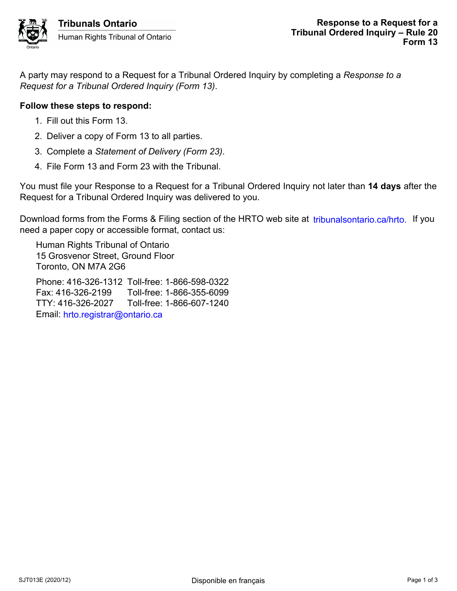A party may respond to a Request for a Tribunal Ordered Inquiry by completing a *Response to a Request for a Tribunal Ordered Inquiry (Form 13)*.

## **Follow these steps to respond:**

- 1. Fill out this Form 13.
- 2. Deliver a copy of Form 13 to all parties.
- 3. Complete a *Statement of Delivery (Form 23)*.
- 4. File Form 13 and Form 23 with the Tribunal.

You must file your Response to a Request for a Tribunal Ordered Inquiry not later than **14 days** after the Request for a Tribunal Ordered Inquiry was delivered to you.

Download forms from the Forms & Filing section of the HRTO web site at *tribunalsontario.ca/hrto.* If you need a paper copy or accessible format, contact us: Forms from the Forms & Filling section of the HRTO web site at tribunalsontario.ca/hrto. If you<br>er cropy or accessible format, contart us:<br>Rights Tribunal of Ontario<br>c. ON M7A 2G6<br>6.326-2199 Toll-free: 1-866-557-5099<br>16-32

Human Rights Tribunal of Ontario 15 Grosvenor Street, Ground Floor Toronto, ON M7A 2G6 Phone: 416-326-1312 Toll-free: 1-866-598-0322

Fax: 416-326-2199 Toll-free: 1-866-355-6099 TTY: 416-326-2027 Toll-free: 1-866-607-1240 Email: hrto.registrar@ontario.ca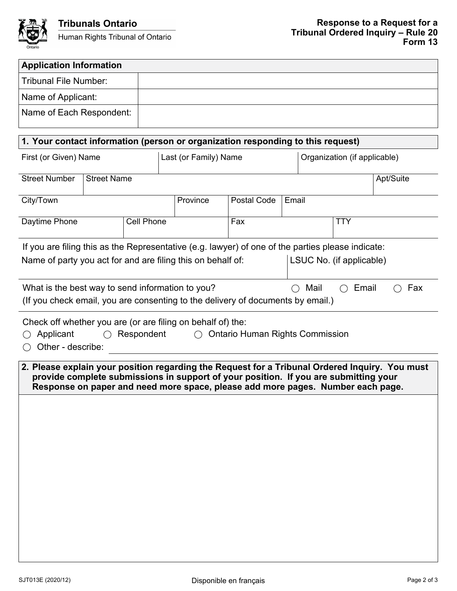

| <b>Application Information</b>                                                                                                                                                                                                                                            |  |                   |                       |                          |       |                              |           |  |  |
|---------------------------------------------------------------------------------------------------------------------------------------------------------------------------------------------------------------------------------------------------------------------------|--|-------------------|-----------------------|--------------------------|-------|------------------------------|-----------|--|--|
| <b>Tribunal File Number:</b>                                                                                                                                                                                                                                              |  |                   |                       |                          |       |                              |           |  |  |
| Name of Applicant:                                                                                                                                                                                                                                                        |  |                   |                       |                          |       |                              |           |  |  |
| Name of Each Respondent:                                                                                                                                                                                                                                                  |  |                   |                       |                          |       |                              |           |  |  |
|                                                                                                                                                                                                                                                                           |  |                   |                       |                          |       |                              |           |  |  |
| 1. Your contact information (person or organization responding to this request)                                                                                                                                                                                           |  |                   |                       |                          |       |                              |           |  |  |
| First (or Given) Name                                                                                                                                                                                                                                                     |  |                   | Last (or Family) Name |                          |       | Organization (if applicable) |           |  |  |
| <b>Street Number</b><br><b>Street Name</b>                                                                                                                                                                                                                                |  |                   |                       |                          |       |                              | Apt/Suite |  |  |
| City/Town                                                                                                                                                                                                                                                                 |  |                   | Province              | Postal Code              | Email |                              |           |  |  |
| Daytime Phone                                                                                                                                                                                                                                                             |  | <b>Cell Phone</b> |                       | Fax                      |       | <b>TTY</b>                   |           |  |  |
| If you are filing this as the Representative (e.g. lawyer) of one of the parties please indicate:                                                                                                                                                                         |  |                   |                       |                          |       |                              |           |  |  |
| Name of party you act for and are filing this on behalf of:                                                                                                                                                                                                               |  |                   |                       | LSUC No. (if applicable) |       |                              |           |  |  |
| What is the best way to send information to you?<br>Mail<br>Email<br>Fax<br>(If you check email, you are consenting to the delivery of documents by email.)                                                                                                               |  |                   |                       |                          |       |                              |           |  |  |
| Check off whether you are (or are filing on behalf of) the:<br>Applicant<br>$\bigcap$<br>Respondent<br>$\bigcap$<br><b>Ontario Human Rights Commission</b><br>Other - describe:                                                                                           |  |                   |                       |                          |       |                              |           |  |  |
| 2. Please explain your position regarding the Request for a Tribunal Ordered Inquiry. You must<br>provide complete submissions in support of your position. If you are submitting your<br>Response on paper and need more space, please add more pages. Number each page. |  |                   |                       |                          |       |                              |           |  |  |
|                                                                                                                                                                                                                                                                           |  |                   |                       |                          |       |                              |           |  |  |
|                                                                                                                                                                                                                                                                           |  |                   |                       |                          |       |                              |           |  |  |
|                                                                                                                                                                                                                                                                           |  |                   |                       |                          |       |                              |           |  |  |
|                                                                                                                                                                                                                                                                           |  |                   |                       |                          |       |                              |           |  |  |
|                                                                                                                                                                                                                                                                           |  |                   |                       |                          |       |                              |           |  |  |
|                                                                                                                                                                                                                                                                           |  |                   |                       |                          |       |                              |           |  |  |
|                                                                                                                                                                                                                                                                           |  |                   |                       |                          |       |                              |           |  |  |
|                                                                                                                                                                                                                                                                           |  |                   |                       |                          |       |                              |           |  |  |